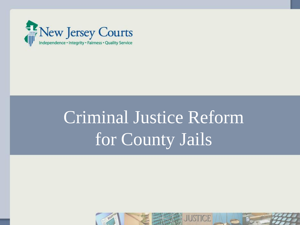

# Criminal Justice Reform for County Jails

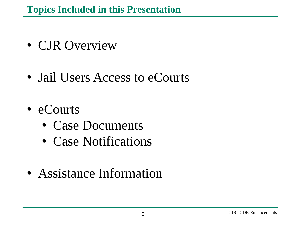- CJR Overview
- Jail Users Access to eCourts
- eCourts
	- Case Documents
	- Case Notifications
- Assistance Information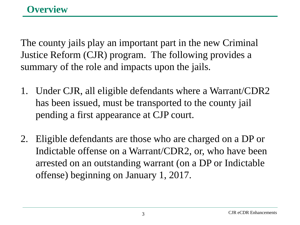The county jails play an important part in the new Criminal Justice Reform (CJR) program. The following provides a summary of the role and impacts upon the jails.

- 1. Under CJR, all eligible defendants where a Warrant/CDR2 has been issued, must be transported to the county jail pending a first appearance at CJP court.
- 2. Eligible defendants are those who are charged on a DP or Indictable offense on a Warrant/CDR2, or, who have been arrested on an outstanding warrant (on a DP or Indictable offense) beginning on January 1, 2017.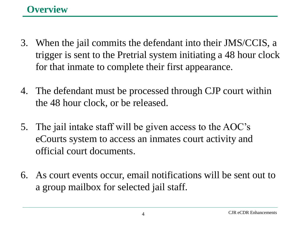- 3. When the jail commits the defendant into their JMS/CCIS, a trigger is sent to the Pretrial system initiating a 48 hour clock for that inmate to complete their first appearance.
- 4. The defendant must be processed through CJP court within the 48 hour clock, or be released.
- 5. The jail intake staff will be given access to the AOC's eCourts system to access an inmates court activity and official court documents.
- 6. As court events occur, email notifications will be sent out to a group mailbox for selected jail staff.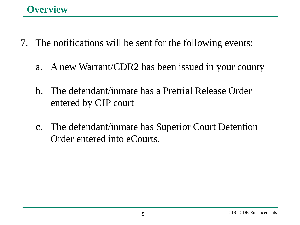- 7. The notifications will be sent for the following events:
	- a. A new Warrant/CDR2 has been issued in your county
	- b. The defendant/inmate has a Pretrial Release Order entered by CJP court
	- c. The defendant/inmate has Superior Court Detention Order entered into eCourts.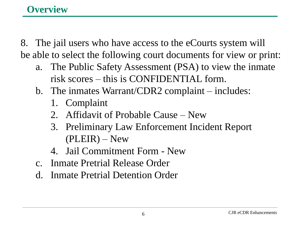#### **Overview**

8. The jail users who have access to the eCourts system will be able to select the following court documents for view or print:

- a. The Public Safety Assessment (PSA) to view the inmate risk scores – this is CONFIDENTIAL form.
- b. The inmates Warrant/CDR2 complaint includes:
	- 1. Complaint
	- 2. Affidavit of Probable Cause New
	- 3. Preliminary Law Enforcement Incident Report  $(PLEIR) - New$
	- 4. Jail Commitment Form New
- c. Inmate Pretrial Release Order
- d. Inmate Pretrial Detention Order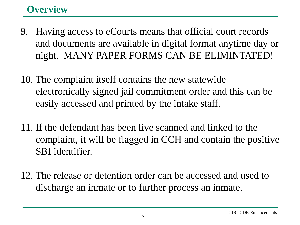#### **Overview**

- 9. Having access to eCourts means that official court records and documents are available in digital format anytime day or night. MANY PAPER FORMS CAN BE ELIMINTATED!
- 10. The complaint itself contains the new statewide electronically signed jail commitment order and this can be easily accessed and printed by the intake staff.
- 11. If the defendant has been live scanned and linked to the complaint, it will be flagged in CCH and contain the positive SBI identifier.
- 12. The release or detention order can be accessed and used to discharge an inmate or to further process an inmate.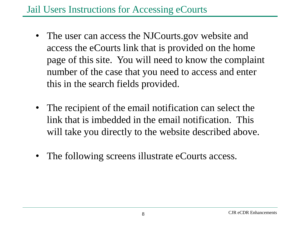- The user can access the NJCourts.gov website and access the eCourts link that is provided on the home page of this site. You will need to know the complaint number of the case that you need to access and enter this in the search fields provided.
- The recipient of the email notification can select the link that is imbedded in the email notification. This will take you directly to the website described above.
- The following screens illustrate eCourts access.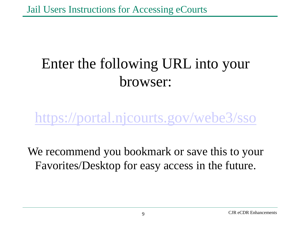## Enter the following URL into your browser:

<https://portal.njcourts.gov/webe3/sso>

We recommend you bookmark or save this to your Favorites/Desktop for easy access in the future.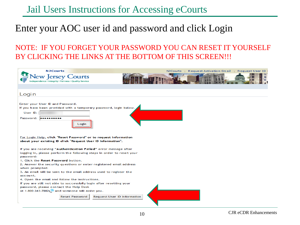#### Enter your AOC user id and password and click Login

NOTE: IF YOU FORGET YOUR PASSWORD YOU CAN RESET IT YOURSELF BY CLICKING THE LINKS AT THE BOTTOM OF THIS SCREEN!!!

| <b>NJCourts</b><br>v Jersey Courts<br>dependence + Integrity + Fairness + Quality Service                                                                                                         | <b>NJCourts</b> | Request Activation Email   Request User ID |
|---------------------------------------------------------------------------------------------------------------------------------------------------------------------------------------------------|-----------------|--------------------------------------------|
| Login                                                                                                                                                                                             |                 |                                            |
| Enter your User ID and Password.<br>If you have been provided with a temporary password, login below.<br>User ID:<br>Password: <b>Decessore</b><br>Login                                          |                 |                                            |
| For Login Help, click "Reset Password" or to request information<br>about your existing ID click "Request User ID Information".                                                                   |                 |                                            |
| If you are receiving "Authentication Failed" error message after<br>logging in, please perform the following steps in order to reset your<br>password:                                            |                 |                                            |
| 1. Click the Reset Password button.<br>2. Answer the security questions or enter registered email address<br>when prompted.<br>3. An email will be sent to the email address used to register the |                 |                                            |
| account.<br>4. Open the email and follow the instructions.                                                                                                                                        |                 |                                            |
| If you are still not able to successfully login after resetting your<br>password, please contact the Help Desk<br>at 1-800-343-7002 S and someone will assist you.                                |                 |                                            |
| <b>Request User ID Information</b><br>Reset Password                                                                                                                                              |                 |                                            |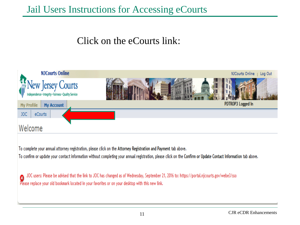#### Click on the eCourts link:

| <b>NJCourts Online</b><br>j<br><b>New Jersey Courts</b><br>Independence + Integrity + Fairness + Quality Service | NJCourts Online<br>  Log Out                                                                                                                                                                                                           |
|------------------------------------------------------------------------------------------------------------------|----------------------------------------------------------------------------------------------------------------------------------------------------------------------------------------------------------------------------------------|
| My Profile<br><b>My Account</b>                                                                                  | PDTROP3 Logged In                                                                                                                                                                                                                      |
| JOC<br>eCourts                                                                                                   |                                                                                                                                                                                                                                        |
| Welcome                                                                                                          |                                                                                                                                                                                                                                        |
| $\mathbf{r}$ and $\mathbf{r}$                                                                                    | $\mathbf{r}$ , and the contract of the contract of the contract of the contract of the contract of the contract of the contract of the contract of the contract of the contract of the contract of the contract of the contract o<br>. |

To complete your annual attorney registration, please click on the Attorney Registration and Payment tab above. To confirm or update your contact information without completing your annual registration, please click on the Confirm or Update Contact Information tab above.

JOC users: Please be advised that the link to JOC has changed as of Wednesday, September 21, 2016 to: https://portal.njcourts.gov/webe3/sso<br>Please replace your old bookmark located in your favorites or on your desktop with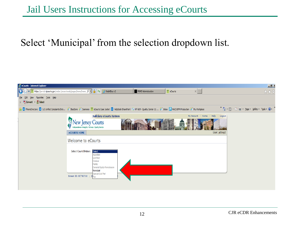## Select 'Municipal' from the selection dropdown list.

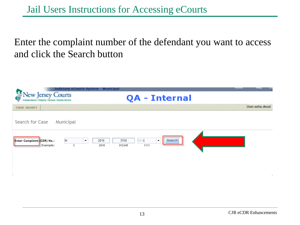#### Enter the complaint number of the defendant you want to access and click the Search button

|                                                                                   | Judiciary eCourts System - Municipal                                                          | nume<br>neip<br>UК |
|-----------------------------------------------------------------------------------|-----------------------------------------------------------------------------------------------|--------------------|
| <b>New Jersey Courts</b><br>Independence · Integrity · Fairness · Quality Service | <b>QA - Internal</b>                                                                          |                    |
| <b>CASE JACKET</b>                                                                |                                                                                               | User:asha.desai    |
| Municipal<br>Search for Case<br>W<br>Enter Complaint (CDR) No.:<br>Example:       | Search<br>1214<br>2016<br>3758<br>$\blacktriangle$<br>▴<br><b>S</b><br>2010<br>012345<br>1111 |                    |
|                                                                                   |                                                                                               |                    |
|                                                                                   |                                                                                               | $\sim$             |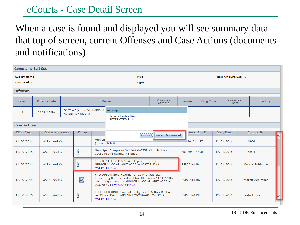#### eCourts - Case Detail Screen

### When a case is found and displayed you will see summary data that top of screen, current Offenses and Case Actions (documents and notifications)

| <b>Complaint Bail Set</b>                    |                |                                                         |              |                                                                                                                                                                                      |                      |        |                 |              |                            |        |                   |  |
|----------------------------------------------|----------------|---------------------------------------------------------|--------------|--------------------------------------------------------------------------------------------------------------------------------------------------------------------------------------|----------------------|--------|-----------------|--------------|----------------------------|--------|-------------------|--|
| <b>Set By Name:</b><br><b>Date Bail Set:</b> |                |                                                         |              | Title:<br>Type:                                                                                                                                                                      |                      |        |                 |              | Bail Amount Set: 0         |        |                   |  |
| <b>Offenses</b>                              |                |                                                         |              |                                                                                                                                                                                      |                      |        |                 |              |                            |        |                   |  |
| Count                                        | Offense Date   |                                                         | Offense      |                                                                                                                                                                                      | Auxiliary<br>Offense | Degree |                 | Drug Code    | Disposition<br><b>Date</b> |        | Finding           |  |
| -1                                           | 11/30/2016     | 2C:29-2A(2) - RESIST ARR/EL Message<br>W/RISK OF INJURY |              | <b>Access Restriction</b><br><b>RESTRICTED Rule</b>                                                                                                                                  |                      |        |                 |              |                            |        |                   |  |
| <b>Case Actions</b>                          |                |                                                         |              |                                                                                                                                                                                      |                      |        |                 |              |                            |        |                   |  |
| Filed Date $\div$                            | Defendant Name | <b>Filings</b>                                          |              | Cancel                                                                                                                                                                               | <b>View Document</b> |        |                 | ansaction ID | Entry Date $\div$          |        | Entered By $\div$ |  |
| 11/30/2016                                   | MARK, MARKY    |                                                         | Municip      | (s) completed                                                                                                                                                                        |                      |        | $m = 201611497$ |              | 12/01/2016                 | JUABC4 |                   |  |
| 11/30/2016                                   | MARK, MARKY    | Û                                                       |              | Municipal Complaint W-2016-003758-1214 Probable<br><b>Cause Found-Manually Signed</b>                                                                                                |                      |        | MCS201611498    |              | 12/01/2016                 | JUABC4 |                   |  |
| 11/30/2016                                   | MARK, MARKY    | Û                                                       | MCS201611498 | PUBLIC SAFETY ASSESSMENT generated for re:<br>MUNICIPAL COMPLAINT W-2016-003758-1214                                                                                                 |                      |        | PSP20161184     |              | 12/01/2016                 |        | Marcia.Rebimbas   |  |
| 11/30/2016                                   | MARK, MARKY    | $\boxtimes$                                             |              | First Appearance Hearing for Central Judicial<br>Processing (CJP) scheduled for 400 PM on 11/30/2016<br>with Judge, test re: MUNICIPAL COMPLAINT W-2016-<br>003758-1214 MCS201611498 | PSP20161187          |        |                 |              | 12/01/2016                 |        | marcia.rebimbas   |  |
| 11/30/2016                                   | MARK, MARKY    | Û                                                       | MCS201611498 | PROPOSED ORDER submitted by Leela Kolluri RELEASE<br>re: MUNICIPAL COMPLAINT W-2016-003758-1214                                                                                      |                      |        | PSP20161191     |              | 12/01/2016                 |        | leela.kolluri     |  |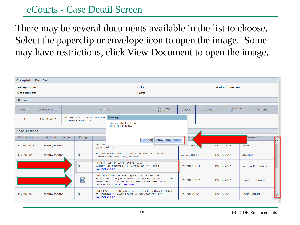#### eCourts - Case Detail Screen

There may be several documents available in the list to choose. Select the paperclip or envelope icon to open the image. Some may have restrictions, click View Document to open the image.

| <b>Complaint Bail Set</b>      |  |                       |  |                                                                |                          |                                                                                                                                                                                                                   |                             |              |                  |                            |                    |                  |
|--------------------------------|--|-----------------------|--|----------------------------------------------------------------|--------------------------|-------------------------------------------------------------------------------------------------------------------------------------------------------------------------------------------------------------------|-----------------------------|--------------|------------------|----------------------------|--------------------|------------------|
| Set By Name:                   |  |                       |  |                                                                |                          | Title:                                                                                                                                                                                                            |                             |              |                  | <b>Bail Amount Set: 0</b>  |                    |                  |
| <b>Date Bail Set:</b><br>Type: |  |                       |  |                                                                |                          |                                                                                                                                                                                                                   |                             |              |                  |                            |                    |                  |
| <b>Offenses</b>                |  |                       |  |                                                                |                          |                                                                                                                                                                                                                   |                             |              |                  |                            |                    |                  |
| Count                          |  | Offense Date          |  |                                                                | Offense                  |                                                                                                                                                                                                                   | <b>Auxiliary</b><br>Offense | Degree       | <b>Drug Code</b> | Disposition<br><b>Date</b> |                    | Finding          |
| $\mathbf{1}$                   |  | 11/30/2016            |  | 2C:29-2A(2) - RESIST ARR/EL Message<br><b>W/RISK OF INJURY</b> |                          |                                                                                                                                                                                                                   |                             |              |                  |                            |                    |                  |
|                                |  |                       |  |                                                                |                          | <b>Access Restriction</b><br><b>RESTRICTED Rule</b>                                                                                                                                                               |                             |              |                  |                            |                    |                  |
| <b>Case Actions</b>            |  |                       |  |                                                                |                          |                                                                                                                                                                                                                   |                             |              |                  |                            |                    |                  |
| Filed Date $\div$              |  | <b>Defendant Name</b> |  | <b>Filings</b>                                                 |                          | Cancel                                                                                                                                                                                                            |                             | ansa         |                  |                            |                    | Entered By ♦     |
| 11/30/2016                     |  | MARK, MARKY           |  |                                                                | Municip<br>(s) completed |                                                                                                                                                                                                                   | <b>View Document</b>        | $m = 201611$ |                  | 12/01/2016                 | JUA <sub>BC4</sub> |                  |
| 11/30/2016                     |  | MARK, MARKY           |  | Û                                                              |                          | Municipal Complaint W-2016-003758-1214 Probable<br><b>Cause Found-Manually Signed</b>                                                                                                                             |                             | MCS201611498 |                  | 12/01/2016                 | JUABC4             |                  |
|                                |  |                       |  |                                                                | MCS201611498             | PUBLIC SAFETY ASSESSMENT generated for re:<br>MUNICIPAL COMPLAINT W-2016-003758-1214                                                                                                                              |                             | PSP20161184  |                  | 12/01/2016                 |                    | Marcia, Rebimbas |
|                                |  |                       |  | X                                                              |                          | First Appearance Hearing for Central Judicial<br>Processing (CJP) scheduled for 400 PM on 11/30/2016<br>PSP20161187<br>12/01/2016<br>with Judge, test re: MUNICIPAL COMPLAINT W-2016-<br>003758-1214 MCS201611498 |                             |              |                  |                            | marcia.rebimbas    |                  |
| 11/30/2016                     |  | MARK, MARKY           |  | Û                                                              | MCS201611498             | PROPOSED ORDER submitted by Leela Kolluri RELEASE<br>re: MUNICIPAL COMPLAINT W-2016-003758-1214                                                                                                                   |                             | PSP20161191  |                  | 12/01/2016                 |                    | leela.kolluri    |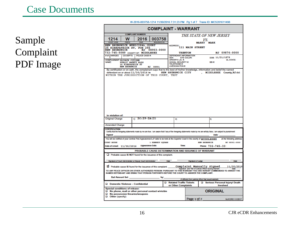Sample Complaint PDF Image

|                                       |                                                |                                                                                                                                                                            |                            |             |                                               | .                                                                                    |                      |                    |                                                                                                                  |  |  |
|---------------------------------------|------------------------------------------------|----------------------------------------------------------------------------------------------------------------------------------------------------------------------------|----------------------------|-------------|-----------------------------------------------|--------------------------------------------------------------------------------------|----------------------|--------------------|------------------------------------------------------------------------------------------------------------------|--|--|
|                                       |                                                |                                                                                                                                                                            | <b>COMPLAINT - WARRANT</b> |             |                                               |                                                                                      |                      |                    |                                                                                                                  |  |  |
|                                       |                                                | <b>COMPLAINT NUMBER</b>                                                                                                                                                    |                            |             |                                               | THE STATE OF NEW JERSEY                                                              |                      |                    |                                                                                                                  |  |  |
| 1214                                  | w                                              | 2016                                                                                                                                                                       | 003758                     |             |                                               |                                                                                      |                      |                    |                                                                                                                  |  |  |
| COURT CODE                            | <b>PREFIX</b>                                  | <b>VFAR</b>                                                                                                                                                                | <b>SEQUENCE NO.</b>        |             |                                               |                                                                                      | VS.                  |                    |                                                                                                                  |  |  |
|                                       |                                                | NEW BRUNSWICK MUNICIPAL COURT                                                                                                                                              |                            |             | <b>MARKY</b><br><b>MARK</b><br><b>ADDRESS</b> |                                                                                      |                      |                    |                                                                                                                  |  |  |
|                                       |                                                | 25 KIRKPATRICK ST, POB 265                                                                                                                                                 |                            |             |                                               | 111 MAIN STREET                                                                      |                      |                    |                                                                                                                  |  |  |
| <b>NEW BRUNSWICK</b>                  |                                                | NJ                                                                                                                                                                         | 08903-0000                 |             |                                               |                                                                                      |                      |                    |                                                                                                                  |  |  |
|                                       |                                                | 732-745-5089 COUNTY OF: MIDDLESEX                                                                                                                                          |                            |             | <b>TRENTON</b>                                |                                                                                      |                      |                    | NJ 09876-0000                                                                                                    |  |  |
| # of CHARGES                          | <b>CO-DEFTS</b>                                | <b>POLICE CASE #:</b>                                                                                                                                                      |                            | <b>SFX:</b> | <b>DEFENDANT INFORMATION</b>                  | <b>EYE COLOR:</b>                                                                    |                      | DOB: 11/21/1979    |                                                                                                                  |  |  |
| COMPLAINANT PRIVATE CITIZEN           |                                                |                                                                                                                                                                            |                            |             | DRIVER'S LIC. #.                              |                                                                                      |                      |                    | <b>DL STATE:</b>                                                                                                 |  |  |
| NAME:                                 | PUBLIC SAFETY BLDG<br><b>25 KIRKPATRICK ST</b> |                                                                                                                                                                            |                            |             | SOCIAL SECURITY #:<br><b>TELEPHONE #:</b>     |                                                                                      |                      | SBI#:              |                                                                                                                  |  |  |
|                                       | <b>NEW BRUNSWICK</b>                           |                                                                                                                                                                            | NJ 08901                   |             | <b>LIVESCAN PCN #:</b>                        |                                                                                      |                      |                    |                                                                                                                  |  |  |
|                                       |                                                | By certification or on oath, the complainant says that to the best of his/her knowledge, information and belief the named                                                  |                            |             |                                               |                                                                                      |                      |                    |                                                                                                                  |  |  |
|                                       |                                                | defendant on or about 11/30/2016 in                                                                                                                                        |                            |             | <b>NEW BRUNSWICK CITY</b>                     |                                                                                      |                      |                    | MIDDLESEX County, NJ did:                                                                                        |  |  |
|                                       |                                                | WITHIN THE JURISDICTION OF THIS COURT. TEST                                                                                                                                |                            |             |                                               |                                                                                      |                      |                    |                                                                                                                  |  |  |
|                                       |                                                |                                                                                                                                                                            |                            |             |                                               |                                                                                      |                      |                    |                                                                                                                  |  |  |
|                                       |                                                |                                                                                                                                                                            |                            |             |                                               |                                                                                      |                      |                    |                                                                                                                  |  |  |
|                                       |                                                |                                                                                                                                                                            |                            |             |                                               |                                                                                      |                      |                    |                                                                                                                  |  |  |
|                                       |                                                |                                                                                                                                                                            |                            |             |                                               |                                                                                      |                      |                    |                                                                                                                  |  |  |
|                                       |                                                |                                                                                                                                                                            |                            |             |                                               |                                                                                      |                      |                    |                                                                                                                  |  |  |
|                                       |                                                |                                                                                                                                                                            |                            |             |                                               |                                                                                      |                      |                    |                                                                                                                  |  |  |
|                                       |                                                |                                                                                                                                                                            |                            |             |                                               |                                                                                      |                      |                    |                                                                                                                  |  |  |
|                                       |                                                |                                                                                                                                                                            |                            |             |                                               |                                                                                      |                      |                    |                                                                                                                  |  |  |
|                                       |                                                |                                                                                                                                                                            |                            |             |                                               |                                                                                      |                      |                    |                                                                                                                  |  |  |
|                                       |                                                |                                                                                                                                                                            |                            |             |                                               |                                                                                      |                      |                    |                                                                                                                  |  |  |
|                                       |                                                |                                                                                                                                                                            |                            |             |                                               |                                                                                      |                      |                    |                                                                                                                  |  |  |
|                                       |                                                |                                                                                                                                                                            |                            |             |                                               |                                                                                      |                      |                    |                                                                                                                  |  |  |
|                                       |                                                |                                                                                                                                                                            |                            |             |                                               |                                                                                      |                      |                    |                                                                                                                  |  |  |
|                                       |                                                |                                                                                                                                                                            |                            |             |                                               |                                                                                      |                      |                    |                                                                                                                  |  |  |
| in violation of:                      |                                                | $2C:29-2A(2)$                                                                                                                                                              |                            |             |                                               |                                                                                      |                      |                    |                                                                                                                  |  |  |
| Original Charge                       |                                                | 1)                                                                                                                                                                         |                            |             | 2)                                            |                                                                                      |                      | 3)                 |                                                                                                                  |  |  |
|                                       |                                                |                                                                                                                                                                            |                            |             |                                               |                                                                                      |                      |                    |                                                                                                                  |  |  |
| <b>Amended Charge</b>                 |                                                |                                                                                                                                                                            |                            |             |                                               |                                                                                      |                      |                    |                                                                                                                  |  |  |
| <b>CERTIFICATION:</b>                 |                                                |                                                                                                                                                                            |                            |             |                                               |                                                                                      |                      |                    |                                                                                                                  |  |  |
|                                       |                                                | I certify that the foregoing statements made by me are true. I am aware that if any of the foregoing statements made by me are witfully faise, I am subject to plunishment |                            |             |                                               |                                                                                      |                      |                    |                                                                                                                  |  |  |
| Signed:                               |                                                |                                                                                                                                                                            |                            |             |                                               |                                                                                      |                      | Date:              |                                                                                                                  |  |  |
|                                       |                                                | You will be notified of your Central First Appearance/CJP date to be held at the Superior Court in the county of MIDDLESEX                                                 |                            |             |                                               |                                                                                      |                      |                    | at the following address:                                                                                        |  |  |
| <b>COURT HOUSE</b>                    |                                                |                                                                                                                                                                            | 1 KENNEDY SQUARE           |             |                                               |                                                                                      | <b>NEW BRUNSWICK</b> |                    | NJ 08901-0000                                                                                                    |  |  |
|                                       |                                                | <b>Appearance Date:</b>                                                                                                                                                    |                            |             | Time:                                         |                                                                                      |                      |                    |                                                                                                                  |  |  |
| Date of Arrest: 11/30/2016            |                                                |                                                                                                                                                                            |                            |             |                                               |                                                                                      |                      | Phone: 732-745-33! |                                                                                                                  |  |  |
|                                       |                                                | PROBABLE CAUSE DETERMINATION AND ISSUANCE OF WARRANT                                                                                                                       |                            |             |                                               |                                                                                      |                      |                    |                                                                                                                  |  |  |
|                                       |                                                | $\Box$ Probable cause IS NOT found for the issuance of this complaint.                                                                                                     |                            |             |                                               |                                                                                      |                      |                    |                                                                                                                  |  |  |
|                                       |                                                |                                                                                                                                                                            |                            |             |                                               |                                                                                      |                      |                    |                                                                                                                  |  |  |
|                                       |                                                |                                                                                                                                                                            |                            |             |                                               |                                                                                      |                      |                    |                                                                                                                  |  |  |
|                                       |                                                | Signature of Court Administrator or Deputy Court Administrator                                                                                                             |                            | <b>Date</b> |                                               | <b>Signature of Judge</b>                                                            |                      |                    | <b>Date</b>                                                                                                      |  |  |
|                                       |                                                |                                                                                                                                                                            |                            |             |                                               |                                                                                      |                      |                    |                                                                                                                  |  |  |
|                                       |                                                | Probable cause IS found for the issuance of this complaint.                                                                                                                |                            |             |                                               | Complaint Manually Signed<br>Signature and Title of Judicial Officer Issuing Warrant |                      |                    | 11/30/2016<br>Date                                                                                               |  |  |
|                                       |                                                |                                                                                                                                                                            |                            |             |                                               |                                                                                      |                      |                    | TO ANY PEACE OFFICER OR OTHER AUTHORIZED PERSON: PURSUANT TO THIS WARRANT YOU ARE HEREBY COMMANDED TO ARREST THE |  |  |
|                                       |                                                | NAMED DEFENDANT AND BRING THAT PERSON FORTHWITH BEFORE THE COURT TO ANSWER THE COMPLAINT.                                                                                  |                            |             |                                               |                                                                                      |                      |                    |                                                                                                                  |  |  |
| <b>Bail Amount Set:</b>               |                                                |                                                                                                                                                                            | by:                        |             |                                               |                                                                                      |                      |                    |                                                                                                                  |  |  |
|                                       |                                                |                                                                                                                                                                            |                            |             |                                               | (if different from judicial officer that issued warrant)                             |                      |                    |                                                                                                                  |  |  |
|                                       |                                                |                                                                                                                                                                            |                            |             | Related Traffic Tickets                       |                                                                                      |                      |                    | G Serious Personal Injury/ Death                                                                                 |  |  |
|                                       |                                                | □ Domestic Violence - Confidential                                                                                                                                         |                            |             | or Other Complaints                           |                                                                                      |                      |                    | <b>Involved</b>                                                                                                  |  |  |
| <b>Special conditions of release:</b> |                                                |                                                                                                                                                                            |                            |             |                                               |                                                                                      |                      |                    |                                                                                                                  |  |  |
|                                       |                                                | $\Box$ No phone, mail or other personal contact w/victim                                                                                                                   |                            |             |                                               |                                                                                      |                      | <b>ORIGINAL</b>    |                                                                                                                  |  |  |
|                                       |                                                | No possession firearms/weapons                                                                                                                                             |                            |             |                                               |                                                                                      |                      |                    |                                                                                                                  |  |  |
| Other (specify):                      |                                                |                                                                                                                                                                            |                            |             |                                               |                                                                                      |                      |                    |                                                                                                                  |  |  |
|                                       |                                                |                                                                                                                                                                            |                            |             |                                               | Page 1 of 7                                                                          |                      |                    | NJ/CDR2 1/1/2017                                                                                                 |  |  |

#### W-2016-003758-1214 11/30/2016 7:31:23 PM Pg 1 of 7 Trans ID: MCS201611498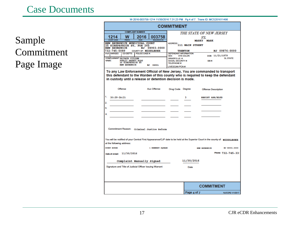#### Case Documents

Sample Commitment Page Image

|                                                 |                                                  |                             | W-2016-003758-1214 11/30/2016 7:31:23 PM Pg 4 of 7 Trans ID: MCS201611498 |                                      |                                |                             |                                                                                                                                                                    |  |  |  |
|-------------------------------------------------|--------------------------------------------------|-----------------------------|---------------------------------------------------------------------------|--------------------------------------|--------------------------------|-----------------------------|--------------------------------------------------------------------------------------------------------------------------------------------------------------------|--|--|--|
|                                                 |                                                  |                             |                                                                           | <b>COMMITMENT</b>                    |                                |                             |                                                                                                                                                                    |  |  |  |
|                                                 |                                                  | <b>COMPLAINT NUMBER</b>     |                                                                           |                                      | <b>THE STATE OF NEW JERSEY</b> |                             |                                                                                                                                                                    |  |  |  |
| 1214                                            | w                                                | 2016                        | 003758                                                                    |                                      | VS.                            |                             |                                                                                                                                                                    |  |  |  |
| <b>COURT CODE</b>                               | <b>PREFIX</b>                                    | <b>YEAR</b>                 | <b>SEQUENCE NO.</b>                                                       |                                      |                                | <b>MARKY</b><br><b>MARK</b> |                                                                                                                                                                    |  |  |  |
| NEW BRUNSWICK MUNICIPAL COURT                   |                                                  |                             |                                                                           | <b>ADDRESS</b>                       |                                |                             |                                                                                                                                                                    |  |  |  |
| 25 KIRKPATRICK ST, POB 265                      |                                                  |                             | NJ 08903-0000                                                             |                                      | 111 MAIN STREET                |                             |                                                                                                                                                                    |  |  |  |
| <b>NEW BRUNSWICK</b><br>732-745-5089            |                                                  | <b>COUNTY OF: MIDDLESEX</b> |                                                                           |                                      | <b>TRENTON</b>                 |                             | NJ 09876-0000                                                                                                                                                      |  |  |  |
| # of CHARGES   CO-DEFTS                         |                                                  | POLICE CASE #:              |                                                                           | <b>DEFENDANT INFORMATION</b>         |                                |                             |                                                                                                                                                                    |  |  |  |
| COMPLAINANT PRIVATE CITIZEN                     |                                                  |                             |                                                                           | SEX <sup>-</sup><br>DRIVER'S LIC. #. | <b>EYE COLOR:</b>              |                             | DOB: 11/21/1979<br><b>DL STATE:</b>                                                                                                                                |  |  |  |
| NAME:                                           | <b>PUBLIC SAPETY BLDG</b>                        |                             |                                                                           | <b>SOCIAL SECURITY #:</b>            |                                | SBI#:                       |                                                                                                                                                                    |  |  |  |
|                                                 | <b>25 KIRKPATRICK ST</b><br><b>NEW BRUNSWICK</b> |                             | N.T 08901                                                                 | <b>TELEPHONE #:</b>                  |                                |                             |                                                                                                                                                                    |  |  |  |
|                                                 |                                                  |                             |                                                                           | <b>LIVESCAN PCN #:</b>               |                                |                             |                                                                                                                                                                    |  |  |  |
|                                                 |                                                  |                             | in custody until a release or detention decision is made.                 |                                      |                                |                             | To any Law Enforcement Official of New Jersey, You are commanded to transport<br>this defendant to the Warden of this county who is required to keep the defendant |  |  |  |
|                                                 | Offense                                          |                             | <b>Aux Offense</b>                                                        | Drug Code Degree                     |                                | <b>Offense Description</b>  |                                                                                                                                                                    |  |  |  |
| 1.<br>$2C_129 - 2A(2)$                          |                                                  |                             |                                                                           |                                      | 3                              | <b>RESIST ARR/ELUD</b>      |                                                                                                                                                                    |  |  |  |
| 2.                                              |                                                  |                             |                                                                           |                                      |                                |                             |                                                                                                                                                                    |  |  |  |
|                                                 |                                                  |                             |                                                                           |                                      |                                |                             |                                                                                                                                                                    |  |  |  |
| 3.                                              |                                                  |                             |                                                                           |                                      |                                |                             |                                                                                                                                                                    |  |  |  |
| 4.                                              |                                                  |                             |                                                                           |                                      |                                |                             |                                                                                                                                                                    |  |  |  |
|                                                 |                                                  |                             |                                                                           |                                      |                                |                             |                                                                                                                                                                    |  |  |  |
| at the following address:<br><b>COURT HOUSE</b> |                                                  |                             | Commitment Reason: Criminal Justice Reform<br>1 KENNEDY SQUARE            |                                      |                                | <b>NEW BRUNSWICK</b>        | You will be notified of your Central First Appearance/CJP date to be held at the Superior Court in the county of: MIDDLESEX<br>NJ 08901-0000                       |  |  |  |
| Date of Arrest: 11/30/2016                      |                                                  |                             |                                                                           |                                      |                                |                             | Phone: 732-745-33!                                                                                                                                                 |  |  |  |
|                                                 |                                                  |                             |                                                                           |                                      |                                |                             |                                                                                                                                                                    |  |  |  |
|                                                 |                                                  | Complaint Manually Signed   |                                                                           |                                      | 11/30/2016                     |                             |                                                                                                                                                                    |  |  |  |
|                                                 |                                                  |                             | Signature and Title of Judicial Officer Issuing Warrant                   |                                      | Date                           |                             |                                                                                                                                                                    |  |  |  |
|                                                 |                                                  |                             |                                                                           |                                      |                                |                             |                                                                                                                                                                    |  |  |  |
|                                                 |                                                  |                             |                                                                           |                                      |                                | <b>COMMITMENT</b>           |                                                                                                                                                                    |  |  |  |
|                                                 |                                                  |                             |                                                                           |                                      | Page 4 of 7                    |                             | NJ/CDR2 1/1/2017                                                                                                                                                   |  |  |  |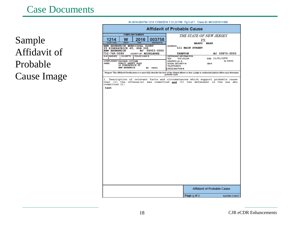Sample Affidavit of Probable Cause Image

|                                                                                                     |                                                                                                  |                                                |                               |                                                                                                                                                    | <b>Affidavit of Probable Cause</b>                                                                                                                            |                                    |                  |
|-----------------------------------------------------------------------------------------------------|--------------------------------------------------------------------------------------------------|------------------------------------------------|-------------------------------|----------------------------------------------------------------------------------------------------------------------------------------------------|---------------------------------------------------------------------------------------------------------------------------------------------------------------|------------------------------------|------------------|
| 1214<br><b>COURT CODE</b>                                                                           | <b>PREFIX</b>                                                                                    | <b>COMPLAINT NUMBER</b><br>2016<br><b>YEAR</b> | 003758<br><b>SEQUENCE NO.</b> |                                                                                                                                                    | THE STATE OF NEW JERSEY                                                                                                                                       | VS.<br><b>MARKY MARK</b>           |                  |
| NEW BRUNSWICK MUNICIPAL COURT<br>25 KIRKPATRICK ST, POB 265<br><b>NEW BRUNSWICK</b><br>732-745-5089 |                                                                                                  | <b>COUNTY OF: MIDDLESEX</b>                    | NJ 08903-0000                 | <b>ADDRESS</b><br><b>TRENTON</b>                                                                                                                   | 111 MAIN STREET                                                                                                                                               |                                    | NJ 09876-0000    |
| # of CHARGES<br>1<br>COMPLAINANT PRIVATE CITIZEN<br>NAME:                                           | <b>CO-DEFTS</b><br><b>PUBLIC SAPETY BLDG</b><br><b>25 KIRKPATRICK ST</b><br><b>NEW BRUNSWICK</b> | <b>POLICE CASE #:</b>                          | NJ 08901                      | <b>DEFENDANT INFORMATION</b><br>SEX:<br><b>EYE COLOR:</b><br>DRIVER'S LIC. #.<br>SOCIAL SECURITY #:<br><b>TELEPHONE#:</b><br><b>IVESCAN PCN #:</b> |                                                                                                                                                               | DOB: 11/21/1979<br>SBI#:           | <b>DL STATE:</b> |
|                                                                                                     |                                                                                                  |                                                |                               | probable cause.                                                                                                                                    | Purpose: This Affidavit/Certification is to more fully describe the facts of the alleged offense so that a judge or authorized judicial officer may determine |                                    |                  |
| committed it:<br>test                                                                               |                                                                                                  |                                                |                               |                                                                                                                                                    | 1. Description of relevant facts and circumstances which support probable cause<br>that (1) the offense(s) was committed and (2) the defendant is the one who |                                    |                  |
|                                                                                                     |                                                                                                  |                                                |                               |                                                                                                                                                    |                                                                                                                                                               | <b>Affidavit of Probable Cause</b> |                  |
|                                                                                                     |                                                                                                  |                                                |                               |                                                                                                                                                    | Page 5 of 7                                                                                                                                                   |                                    | NJ/CDR2 1/1/2017 |

W-2016-003758-1214 11/30/2016 7:31:23 PM Pg 5 of 7 Trans ID: MCS201611498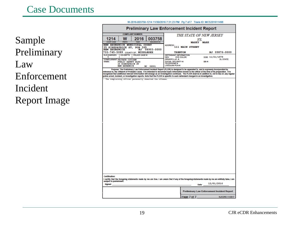Sample Preliminary Law Enforcement Incident Report Image

|                                      |                                                                |                               | $20.10 - 0.007$ , $30 - 12.1 + 1.100$ , $12.01$ , $0.1.20 + 1.01 + 1.9 + 0.1$ |                                              | <b>Preliminary Law Enforcement Incident Report</b>                                                                                                                                                                                                                                          | 1101011                                            |                                                                                                                                                           |  |  |
|--------------------------------------|----------------------------------------------------------------|-------------------------------|-------------------------------------------------------------------------------|----------------------------------------------|---------------------------------------------------------------------------------------------------------------------------------------------------------------------------------------------------------------------------------------------------------------------------------------------|----------------------------------------------------|-----------------------------------------------------------------------------------------------------------------------------------------------------------|--|--|
|                                      |                                                                | <b>COMPLAINT NUMBER</b>       |                                                                               |                                              |                                                                                                                                                                                                                                                                                             |                                                    |                                                                                                                                                           |  |  |
|                                      |                                                                |                               |                                                                               | THE STATE OF NEW JERSEY                      |                                                                                                                                                                                                                                                                                             |                                                    |                                                                                                                                                           |  |  |
| 1214                                 | w                                                              | 2016<br><b>YEAR</b>           | 003758                                                                        |                                              |                                                                                                                                                                                                                                                                                             | VS.                                                |                                                                                                                                                           |  |  |
| <b>COURT CODE</b>                    | <b>PREFIX</b>                                                  | NEW BRUNSWICK MUNICIPAL COURT | <b>SEQUENCE NO.</b>                                                           |                                              | <b>MARKY</b>                                                                                                                                                                                                                                                                                | <b>MARK</b>                                        |                                                                                                                                                           |  |  |
|                                      |                                                                | 25 KIRKPATRICK ST, POB 265    |                                                                               | <b>ADDRESS</b>                               | 111 MAIN STREET                                                                                                                                                                                                                                                                             |                                                    |                                                                                                                                                           |  |  |
| <b>NEW BRUNSWICK</b>                 |                                                                |                               | NJ 08903-0000                                                                 |                                              |                                                                                                                                                                                                                                                                                             |                                                    | NJ 09876-0000                                                                                                                                             |  |  |
| # of CHARGES                         | 732-745-5089 COUNTY OF: MIDDLESEX<br>CO-DEFTS   POLICE CASE #: |                               |                                                                               |                                              | <b>TRENTON</b><br><b>DEFENDANT INFORMATION</b>                                                                                                                                                                                                                                              |                                                    |                                                                                                                                                           |  |  |
|                                      |                                                                |                               |                                                                               | SEX:                                         | <b>EYE COLOR:</b>                                                                                                                                                                                                                                                                           | DOB: 11/21/1979                                    |                                                                                                                                                           |  |  |
| COMPLAINANT PRIVATE CITIZEN<br>NAME: | PUBLIC SAFETY BLDG                                             |                               |                                                                               | DRIVER'S LIC. #<br><b>SOCIAL SECURITY #:</b> |                                                                                                                                                                                                                                                                                             | SBI#:                                              | <b>DL STATE:</b>                                                                                                                                          |  |  |
|                                      | <b>25 KIRKPATRICK ST</b><br><b>NEW BRUNSWICK</b>               | NJ                            | 08901                                                                         | <b>TELEPHONE #:</b><br>LIVESCAN PCN #:       |                                                                                                                                                                                                                                                                                             |                                                    |                                                                                                                                                           |  |  |
|                                      |                                                                |                               |                                                                               |                                              | Purpose: The Preliminary Law Enforcement incident Report (PLEIR) is designed to be appended to, and is expressly incorporated by                                                                                                                                                            |                                                    |                                                                                                                                                           |  |  |
|                                      |                                                                |                               |                                                                               |                                              | reference in, the Affidavit of Probable Cause. It is intended to document basic information known to the officer at the time of its preparation. It is<br>police arrest, incident, or investigation reports. Note that the PLEIR is specific to each defendant charged in an investigation. |                                                    | recognized that additional relevant information will emerge as an investigation continues. The PLEIR shall be in addition to, not in lieu of, any regular |  |  |
|                                      |                                                                |                               | - The complaining officer personally observed the offense.                    |                                              |                                                                                                                                                                                                                                                                                             |                                                    |                                                                                                                                                           |  |  |
|                                      |                                                                |                               |                                                                               |                                              |                                                                                                                                                                                                                                                                                             |                                                    |                                                                                                                                                           |  |  |
|                                      |                                                                |                               |                                                                               |                                              |                                                                                                                                                                                                                                                                                             |                                                    |                                                                                                                                                           |  |  |
|                                      |                                                                |                               |                                                                               |                                              |                                                                                                                                                                                                                                                                                             |                                                    |                                                                                                                                                           |  |  |
|                                      |                                                                |                               |                                                                               |                                              |                                                                                                                                                                                                                                                                                             |                                                    |                                                                                                                                                           |  |  |
|                                      |                                                                |                               |                                                                               |                                              |                                                                                                                                                                                                                                                                                             |                                                    |                                                                                                                                                           |  |  |
|                                      |                                                                |                               |                                                                               |                                              |                                                                                                                                                                                                                                                                                             |                                                    |                                                                                                                                                           |  |  |
|                                      |                                                                |                               |                                                                               |                                              |                                                                                                                                                                                                                                                                                             |                                                    |                                                                                                                                                           |  |  |
|                                      |                                                                |                               |                                                                               |                                              |                                                                                                                                                                                                                                                                                             |                                                    |                                                                                                                                                           |  |  |
|                                      |                                                                |                               |                                                                               |                                              |                                                                                                                                                                                                                                                                                             |                                                    |                                                                                                                                                           |  |  |
|                                      |                                                                |                               |                                                                               |                                              |                                                                                                                                                                                                                                                                                             |                                                    |                                                                                                                                                           |  |  |
|                                      |                                                                |                               |                                                                               |                                              |                                                                                                                                                                                                                                                                                             |                                                    |                                                                                                                                                           |  |  |
|                                      |                                                                |                               |                                                                               |                                              |                                                                                                                                                                                                                                                                                             |                                                    |                                                                                                                                                           |  |  |
|                                      |                                                                |                               |                                                                               |                                              |                                                                                                                                                                                                                                                                                             |                                                    |                                                                                                                                                           |  |  |
|                                      |                                                                |                               |                                                                               |                                              |                                                                                                                                                                                                                                                                                             |                                                    |                                                                                                                                                           |  |  |
|                                      |                                                                |                               |                                                                               |                                              |                                                                                                                                                                                                                                                                                             |                                                    |                                                                                                                                                           |  |  |
|                                      |                                                                |                               |                                                                               |                                              |                                                                                                                                                                                                                                                                                             |                                                    |                                                                                                                                                           |  |  |
|                                      |                                                                |                               |                                                                               |                                              |                                                                                                                                                                                                                                                                                             |                                                    |                                                                                                                                                           |  |  |
|                                      |                                                                |                               |                                                                               |                                              |                                                                                                                                                                                                                                                                                             |                                                    |                                                                                                                                                           |  |  |
|                                      |                                                                |                               |                                                                               |                                              |                                                                                                                                                                                                                                                                                             |                                                    |                                                                                                                                                           |  |  |
|                                      |                                                                |                               |                                                                               |                                              |                                                                                                                                                                                                                                                                                             |                                                    |                                                                                                                                                           |  |  |
|                                      |                                                                |                               |                                                                               |                                              |                                                                                                                                                                                                                                                                                             |                                                    |                                                                                                                                                           |  |  |
|                                      |                                                                |                               |                                                                               |                                              |                                                                                                                                                                                                                                                                                             |                                                    |                                                                                                                                                           |  |  |
|                                      |                                                                |                               |                                                                               |                                              |                                                                                                                                                                                                                                                                                             |                                                    |                                                                                                                                                           |  |  |
|                                      |                                                                |                               |                                                                               |                                              |                                                                                                                                                                                                                                                                                             |                                                    |                                                                                                                                                           |  |  |
|                                      |                                                                |                               |                                                                               |                                              |                                                                                                                                                                                                                                                                                             |                                                    |                                                                                                                                                           |  |  |
|                                      |                                                                |                               |                                                                               |                                              |                                                                                                                                                                                                                                                                                             |                                                    |                                                                                                                                                           |  |  |
|                                      |                                                                |                               |                                                                               |                                              |                                                                                                                                                                                                                                                                                             |                                                    |                                                                                                                                                           |  |  |
|                                      |                                                                |                               |                                                                               |                                              |                                                                                                                                                                                                                                                                                             |                                                    |                                                                                                                                                           |  |  |
|                                      |                                                                |                               |                                                                               |                                              |                                                                                                                                                                                                                                                                                             |                                                    |                                                                                                                                                           |  |  |
| Certification:                       |                                                                |                               |                                                                               |                                              |                                                                                                                                                                                                                                                                                             |                                                    |                                                                                                                                                           |  |  |
| subject to punishment.               |                                                                |                               |                                                                               |                                              | I certify that the foregoing statements made by me are true. I am aware that if any of the foregoing statements made by me are willfully false, I am                                                                                                                                        |                                                    |                                                                                                                                                           |  |  |
| Signed:                              |                                                                |                               |                                                                               |                                              |                                                                                                                                                                                                                                                                                             | 12/01/2016<br>Date:                                |                                                                                                                                                           |  |  |
|                                      |                                                                |                               |                                                                               |                                              |                                                                                                                                                                                                                                                                                             | <b>Preliminary Law Enforcement Incident Report</b> |                                                                                                                                                           |  |  |
|                                      |                                                                |                               |                                                                               |                                              |                                                                                                                                                                                                                                                                                             |                                                    |                                                                                                                                                           |  |  |
|                                      |                                                                |                               |                                                                               |                                              | Page 7 of 7                                                                                                                                                                                                                                                                                 |                                                    | NJ/CDR2 1/1/2017                                                                                                                                          |  |  |

#### W-2016-003758-1214 11/30/2016 7:31:23 PM Pa 7 of 7 Trans ID: MCS201611498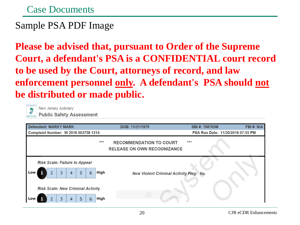Case Documents

#### Sample PSA PDF Image

**Please be advised that, pursuant to Order of the Supreme Court, a defendant's PSA is a CONFIDENTIAL court record to be used by the Court, attorneys of record, and law enforcement personnel only. A defendant's PSA should not be distributed or made public.**



New Jersey Judiciary **Public Safety Assessment** 

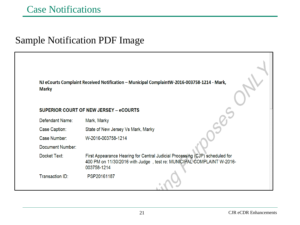#### Sample Notification PDF Image

| <b>Marky</b>            | NJ eCourts Complaint Received Notification - Municipal ComplaintW-2016-003758-1214 - Mark,                                                                           |
|-------------------------|----------------------------------------------------------------------------------------------------------------------------------------------------------------------|
|                         | <b>SUPERIOR COURT OF NEW JERSEY - eCOURTS</b>                                                                                                                        |
| Defendant Name:         | Mark, Marky                                                                                                                                                          |
| Case Caption:           | State of New Jersey Vs Mark, Marky                                                                                                                                   |
| Case Number:            | W-2016-003758-1214                                                                                                                                                   |
| <b>Document Number:</b> |                                                                                                                                                                      |
| Docket Text:            | First Appearance Hearing for Central Judicial Processing (CJP) scheduled for<br>400 PM on 11/30/2016 with Judge, test re: MUNICIPAL COMPLAINT W-2016-<br>003758-1214 |
| <b>Transaction ID:</b>  | PSP20161187                                                                                                                                                          |